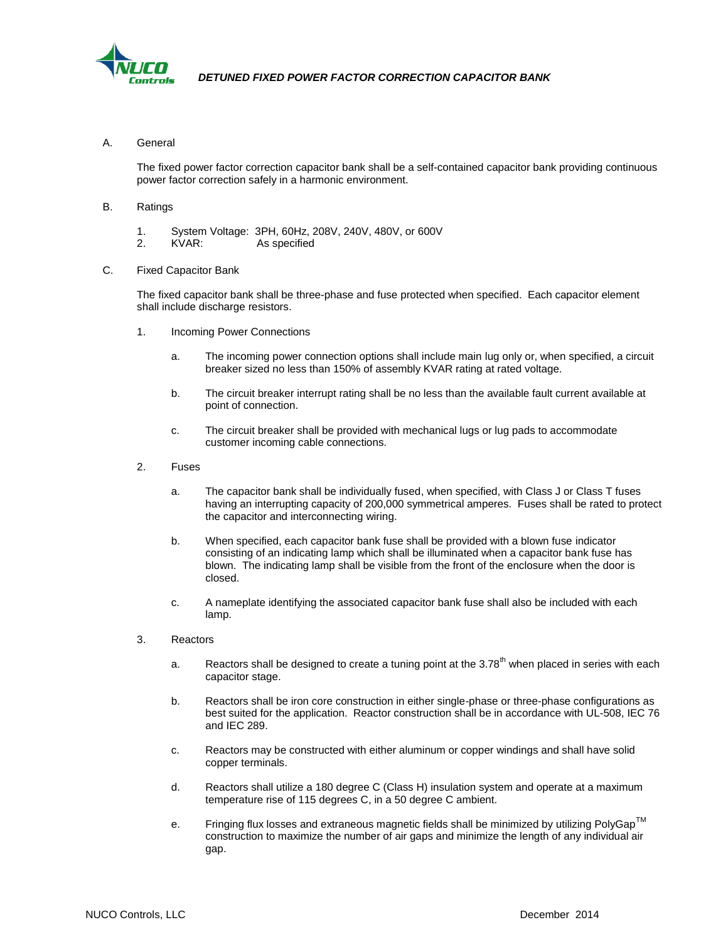

## A. General

The fixed power factor correction capacitor bank shall be a self-contained capacitor bank providing continuous power factor correction safely in a harmonic environment.

- B. Ratings
	- 1. System Voltage: 3PH, 60Hz, 208V, 240V, 480V, or 600V
	- KVAR: As specified
- C. Fixed Capacitor Bank

The fixed capacitor bank shall be three-phase and fuse protected when specified. Each capacitor element shall include discharge resistors.

- 1. Incoming Power Connections
	- a. The incoming power connection options shall include main lug only or, when specified, a circuit breaker sized no less than 150% of assembly KVAR rating at rated voltage.
	- b. The circuit breaker interrupt rating shall be no less than the available fault current available at point of connection.
	- c. The circuit breaker shall be provided with mechanical lugs or lug pads to accommodate customer incoming cable connections.
- 2. Fuses
	- a. The capacitor bank shall be individually fused, when specified, with Class J or Class T fuses having an interrupting capacity of 200,000 symmetrical amperes. Fuses shall be rated to protect the capacitor and interconnecting wiring.
	- b. When specified, each capacitor bank fuse shall be provided with a blown fuse indicator consisting of an indicating lamp which shall be illuminated when a capacitor bank fuse has blown. The indicating lamp shall be visible from the front of the enclosure when the door is closed.
	- c. A nameplate identifying the associated capacitor bank fuse shall also be included with each lamp.
- 3. Reactors
	- a. Reactors shall be designed to create a tuning point at the  $3.78<sup>th</sup>$  when placed in series with each capacitor stage.
	- b. Reactors shall be iron core construction in either single-phase or three-phase configurations as best suited for the application. Reactor construction shall be in accordance with UL-508, IEC 76 and IEC 289.
	- c. Reactors may be constructed with either aluminum or copper windings and shall have solid copper terminals.
	- d. Reactors shall utilize a 180 degree C (Class H) insulation system and operate at a maximum temperature rise of 115 degrees C, in a 50 degree C ambient.
	- e. Fringing flux losses and extraneous magnetic fields shall be minimized by utilizing PolyGap<sup>TM</sup> construction to maximize the number of air gaps and minimize the length of any individual air gap.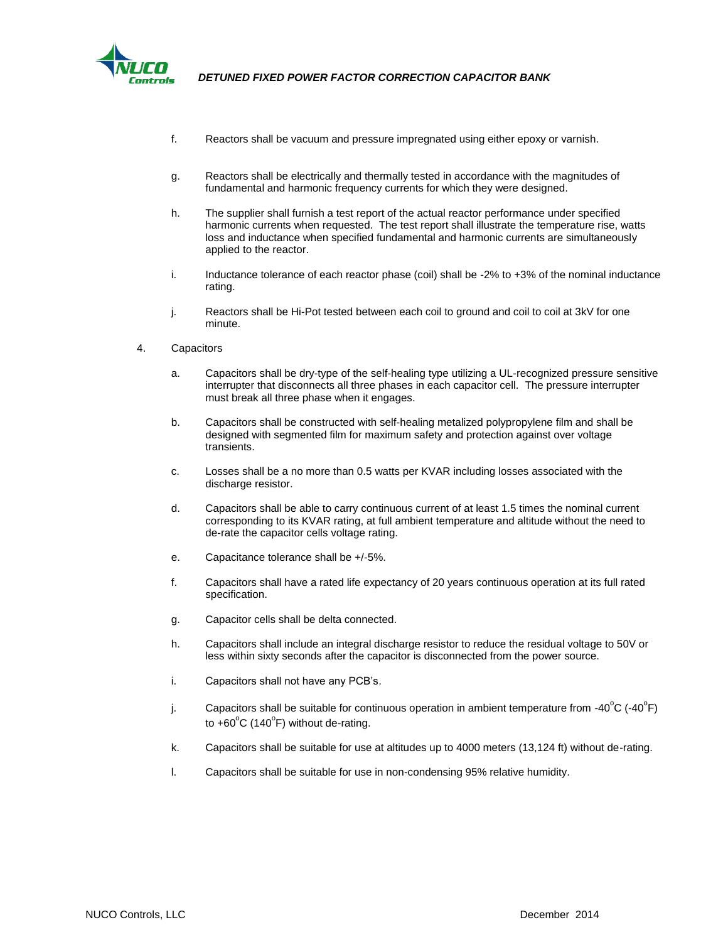

*DETUNED FIXED POWER FACTOR CORRECTION CAPACITOR BANK*

- f. Reactors shall be vacuum and pressure impregnated using either epoxy or varnish.
- g. Reactors shall be electrically and thermally tested in accordance with the magnitudes of fundamental and harmonic frequency currents for which they were designed.
- h. The supplier shall furnish a test report of the actual reactor performance under specified harmonic currents when requested. The test report shall illustrate the temperature rise, watts loss and inductance when specified fundamental and harmonic currents are simultaneously applied to the reactor.
- i. Inductance tolerance of each reactor phase (coil) shall be -2% to +3% of the nominal inductance rating.
- j. Reactors shall be Hi-Pot tested between each coil to ground and coil to coil at 3kV for one minute.
- 4. Capacitors
	- a. Capacitors shall be dry-type of the self-healing type utilizing a UL-recognized pressure sensitive interrupter that disconnects all three phases in each capacitor cell. The pressure interrupter must break all three phase when it engages.
	- b. Capacitors shall be constructed with self-healing metalized polypropylene film and shall be designed with segmented film for maximum safety and protection against over voltage transients.
	- c. Losses shall be a no more than 0.5 watts per KVAR including losses associated with the discharge resistor.
	- d. Capacitors shall be able to carry continuous current of at least 1.5 times the nominal current corresponding to its KVAR rating, at full ambient temperature and altitude without the need to de-rate the capacitor cells voltage rating.
	- e. Capacitance tolerance shall be +/-5%.
	- f. Capacitors shall have a rated life expectancy of 20 years continuous operation at its full rated specification.
	- g. Capacitor cells shall be delta connected.
	- h. Capacitors shall include an integral discharge resistor to reduce the residual voltage to 50V or less within sixty seconds after the capacitor is disconnected from the power source.
	- i. Capacitors shall not have any PCB's.
	- j. Capacitors shall be suitable for continuous operation in ambient temperature from -40<sup>o</sup>C (-40<sup>o</sup>F) to  $+60^{\circ}$ C (140 $^{\circ}$ F) without de-rating.
	- k. Capacitors shall be suitable for use at altitudes up to 4000 meters (13,124 ft) without de-rating.
	- l. Capacitors shall be suitable for use in non-condensing 95% relative humidity.